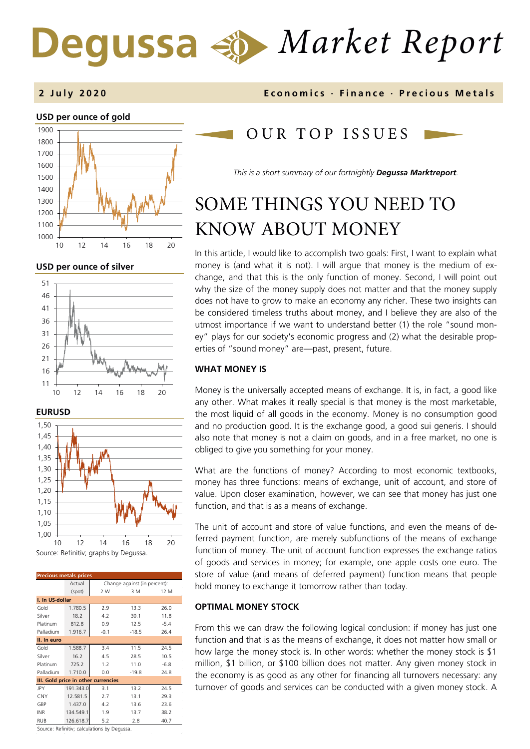# *Market Report* Dequssa  $\Leftrightarrow$

#### **USD per ounce of gold**  1000 1100 1200 1300 1400 1500 1600 1700 1800 1900 10 12 14 16 18 20

**USD per ounce of silver** 







| <b>Precious metals prices</b>       |           |                              |         |        |  |  |  |
|-------------------------------------|-----------|------------------------------|---------|--------|--|--|--|
|                                     | Actual    | Change against (in percent): |         |        |  |  |  |
|                                     | (spot)    | 2 W                          | 3 M     | 12 M   |  |  |  |
| I. In US-dollar                     |           |                              |         |        |  |  |  |
| Gold                                | 1.780.5   | 2.9                          | 13.3    | 26.0   |  |  |  |
| Silver                              | 18.2      | 4.2                          | 30.1    | 11.8   |  |  |  |
| Platinum                            | 812.8     | 0.9                          | 12.5    | $-5.4$ |  |  |  |
| Palladium                           | 1.916.7   | $-0.1$                       | $-18.5$ | 26.4   |  |  |  |
| II. In euro                         |           |                              |         |        |  |  |  |
| Gold                                | 1.588.7   | 3.4                          | 11.5    | 24.5   |  |  |  |
| Silver                              | 16.2      | 4.5                          | 28.5    | 10.5   |  |  |  |
| Platinum                            | 725.2     | 1.2                          | 11.0    | $-6.8$ |  |  |  |
| Palladium                           | 1.710.0   | 0.0                          | $-19.8$ | 24.8   |  |  |  |
| III. Gold price in other currencies |           |                              |         |        |  |  |  |
| <b>JPY</b>                          | 191.343.0 | 3.1                          | 13.2    | 24.5   |  |  |  |
| <b>CNY</b>                          | 12.581.5  | 2.7                          | 13.1    | 29.3   |  |  |  |
| GBP                                 | 1.437.0   | 4.2                          | 13.6    | 23.6   |  |  |  |
| <b>INR</b>                          | 134.549.1 | 1.9                          | 13.7    | 38.2   |  |  |  |
| <b>RUB</b>                          | 126.618.7 | 5.2                          | 2.8     | 40.7   |  |  |  |
|                                     |           |                              |         |        |  |  |  |

Source: Refinitiv; calculations by Degussa.

#### **2 July 2020 Economics · Finance · Precious M etals**

## OUR TOP ISSUE S

*This is a short summary of our fortnightly Degussa Marktreport.*

# SOME THINGS YOU NEED TO KNOW ABOUT MONEY

In this article, I would like to accomplish two goals: First, I want to explain what money is (and what it is not). I will argue that money is the medium of exchange, and that this is the only function of money. Second, I will point out why the size of the money supply does not matter and that the money supply does not have to grow to make an economy any richer. These two insights can be considered timeless truths about money, and I believe they are also of the utmost importance if we want to understand better (1) the role "sound money" plays for our society's economic progress and (2) what the desirable properties of "sound money" are—past, present, future.

#### **WHAT MONEY IS**

Money is the universally accepted means of exchange. It is, in fact, a good like any other. What makes it really special is that money is the most marketable, the most liquid of all goods in the economy. Money is no consumption good and no production good. It is the exchange good, a good sui generis. I should also note that money is not a claim on goods, and in a free market, no one is obliged to give you something for your money.

What are the functions of money? According to most economic textbooks, money has three functions: means of exchange, unit of account, and store of value. Upon closer examination, however, we can see that money has just one function, and that is as a means of exchange.

The unit of account and store of value functions, and even the means of deferred payment function, are merely subfunctions of the means of exchange function of money. The unit of account function expresses the exchange ratios of goods and services in money; for example, one apple costs one euro. The store of value (and means of deferred payment) function means that people hold money to exchange it tomorrow rather than today.

#### **OPTIMAL MONEY STOCK**

From this we can draw the following logical conclusion: if money has just one function and that is as the means of exchange, it does not matter how small or how large the money stock is. In other words: whether the money stock is \$1 million, \$1 billion, or \$100 billion does not matter. Any given money stock in the economy is as good as any other for financing all turnovers necessary: any turnover of goods and services can be conducted with a given money stock. A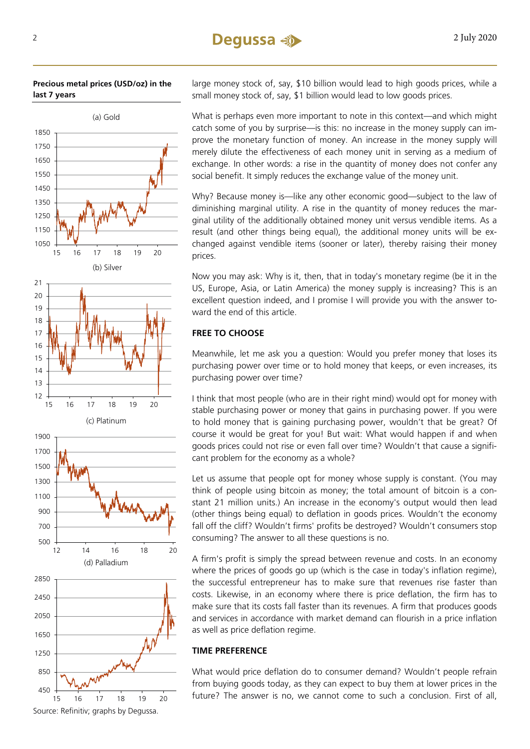#### **Precious metal prices (USD/oz) in the last 7 years**



large money stock of, say, \$10 billion would lead to high goods prices, while a small money stock of, say, \$1 billion would lead to low goods prices.

What is perhaps even more important to note in this context—and which might catch some of you by surprise—is this: no increase in the money supply can improve the monetary function of money. An increase in the money supply will merely dilute the effectiveness of each money unit in serving as a medium of exchange. In other words: a rise in the quantity of money does not confer any social benefit. It simply reduces the exchange value of the money unit.

Why? Because money is—like any other economic good—subject to the law of diminishing marginal utility. A rise in the quantity of money reduces the marginal utility of the additionally obtained money unit versus vendible items. As a result (and other things being equal), the additional money units will be exchanged against vendible items (sooner or later), thereby raising their money prices.

Now you may ask: Why is it, then, that in today's monetary regime (be it in the US, Europe, Asia, or Latin America) the money supply is increasing? This is an excellent question indeed, and I promise I will provide you with the answer toward the end of this article.

### **FREE TO CHOOSE**

Meanwhile, let me ask you a question: Would you prefer money that loses its purchasing power over time or to hold money that keeps, or even increases, its purchasing power over time?

I think that most people (who are in their right mind) would opt for money with stable purchasing power or money that gains in purchasing power. If you were to hold money that is gaining purchasing power, wouldn't that be great? Of course it would be great for you! But wait: What would happen if and when goods prices could not rise or even fall over time? Wouldn't that cause a significant problem for the economy as a whole?

Let us assume that people opt for money whose supply is constant. (You may think of people using bitcoin as money; the total amount of bitcoin is a constant 21 million units.) An increase in the economy's output would then lead (other things being equal) to deflation in goods prices. Wouldn't the economy fall off the cliff? Wouldn't firms' profits be destroyed? Wouldn't consumers stop consuming? The answer to all these questions is no.

A firm's profit is simply the spread between revenue and costs. In an economy where the prices of goods go up (which is the case in today's inflation regime), the successful entrepreneur has to make sure that revenues rise faster than costs. Likewise, in an economy where there is price deflation, the firm has to make sure that its costs fall faster than its revenues. A firm that produces goods and services in accordance with market demand can flourish in a price inflation as well as price deflation regime.

#### **TIME PREFERENCE**

What would price deflation do to consumer demand? Wouldn't people refrain from buying goods today, as they can expect to buy them at lower prices in the future? The answer is no, we cannot come to such a conclusion. First of all,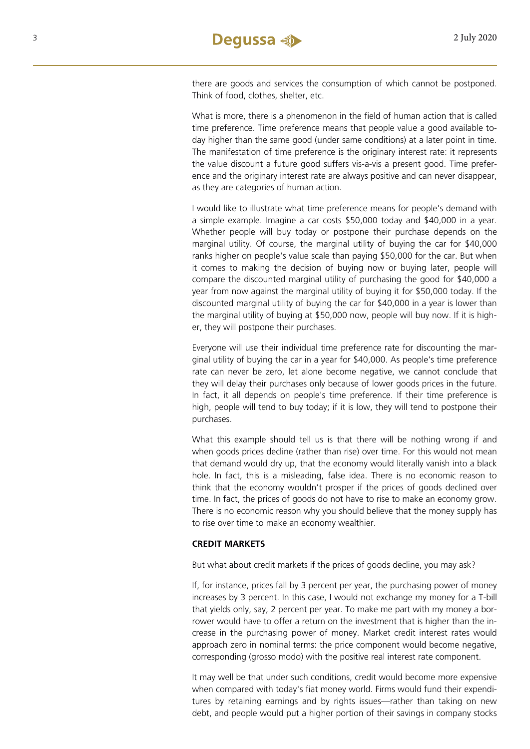there are goods and services the consumption of which cannot be postponed. Think of food, clothes, shelter, etc.

What is more, there is a phenomenon in the field of human action that is called time preference. Time preference means that people value a good available today higher than the same good (under same conditions) at a later point in time. The manifestation of time preference is the originary interest rate: it represents the value discount a future good suffers vis-a-vis a present good. Time preference and the originary interest rate are always positive and can never disappear, as they are categories of human action.

I would like to illustrate what time preference means for people's demand with a simple example. Imagine a car costs \$50,000 today and \$40,000 in a year. Whether people will buy today or postpone their purchase depends on the marginal utility. Of course, the marginal utility of buying the car for \$40,000 ranks higher on people's value scale than paying \$50,000 for the car. But when it comes to making the decision of buying now or buying later, people will compare the discounted marginal utility of purchasing the good for \$40,000 a year from now against the marginal utility of buying it for \$50,000 today. If the discounted marginal utility of buying the car for \$40,000 in a year is lower than the marginal utility of buying at \$50,000 now, people will buy now. If it is higher, they will postpone their purchases.

Everyone will use their individual time preference rate for discounting the marginal utility of buying the car in a year for \$40,000. As people's time preference rate can never be zero, let alone become negative, we cannot conclude that they will delay their purchases only because of lower goods prices in the future. In fact, it all depends on people's time preference. If their time preference is high, people will tend to buy today; if it is low, they will tend to postpone their purchases.

What this example should tell us is that there will be nothing wrong if and when goods prices decline (rather than rise) over time. For this would not mean that demand would dry up, that the economy would literally vanish into a black hole. In fact, this is a misleading, false idea. There is no economic reason to think that the economy wouldn't prosper if the prices of goods declined over time. In fact, the prices of goods do not have to rise to make an economy grow. There is no economic reason why you should believe that the money supply has to rise over time to make an economy wealthier.

#### **CREDIT MARKETS**

But what about credit markets if the prices of goods decline, you may ask?

If, for instance, prices fall by 3 percent per year, the purchasing power of money increases by 3 percent. In this case, I would not exchange my money for a T-bill that yields only, say, 2 percent per year. To make me part with my money a borrower would have to offer a return on the investment that is higher than the increase in the purchasing power of money. Market credit interest rates would approach zero in nominal terms: the price component would become negative, corresponding (grosso modo) with the positive real interest rate component.

It may well be that under such conditions, credit would become more expensive when compared with today's fiat money world. Firms would fund their expenditures by retaining earnings and by rights issues—rather than taking on new debt, and people would put a higher portion of their savings in company stocks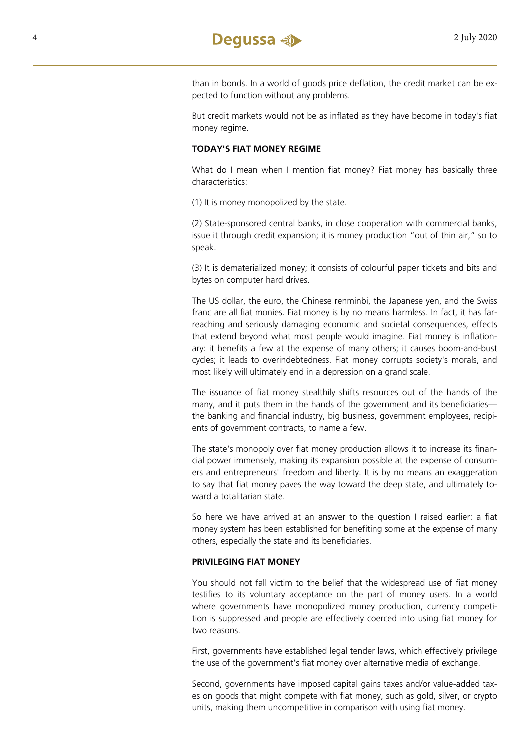

than in bonds. In a world of goods price deflation, the credit market can be expected to function without any problems.

But credit markets would not be as inflated as they have become in today's fiat money regime.

#### **TODAY'S FIAT MONEY REGIME**

What do I mean when I mention fiat money? Fiat money has basically three characteristics:

(1) It is money monopolized by the state.

(2) State-sponsored central banks, in close cooperation with commercial banks, issue it through credit expansion; it is money production "out of thin air," so to speak.

(3) It is dematerialized money; it consists of colourful paper tickets and bits and bytes on computer hard drives.

The US dollar, the euro, the Chinese renminbi, the Japanese yen, and the Swiss franc are all fiat monies. Fiat money is by no means harmless. In fact, it has farreaching and seriously damaging economic and societal consequences, effects that extend beyond what most people would imagine. Fiat money is inflationary: it benefits a few at the expense of many others; it causes boom-and-bust cycles; it leads to overindebtedness. Fiat money corrupts society's morals, and most likely will ultimately end in a depression on a grand scale.

The issuance of fiat money stealthily shifts resources out of the hands of the many, and it puts them in the hands of the government and its beneficiaries the banking and financial industry, big business, government employees, recipients of government contracts, to name a few.

The state's monopoly over fiat money production allows it to increase its financial power immensely, making its expansion possible at the expense of consumers and entrepreneurs' freedom and liberty. It is by no means an exaggeration to say that fiat money paves the way toward the deep state, and ultimately toward a totalitarian state.

So here we have arrived at an answer to the question I raised earlier: a fiat money system has been established for benefiting some at the expense of many others, especially the state and its beneficiaries.

#### **PRIVILEGING FIAT MONEY**

You should not fall victim to the belief that the widespread use of fiat money testifies to its voluntary acceptance on the part of money users. In a world where governments have monopolized money production, currency competition is suppressed and people are effectively coerced into using fiat money for two reasons.

First, governments have established legal tender laws, which effectively privilege the use of the government's fiat money over alternative media of exchange.

Second, governments have imposed capital gains taxes and/or value-added taxes on goods that might compete with fiat money, such as gold, silver, or crypto units, making them uncompetitive in comparison with using fiat money.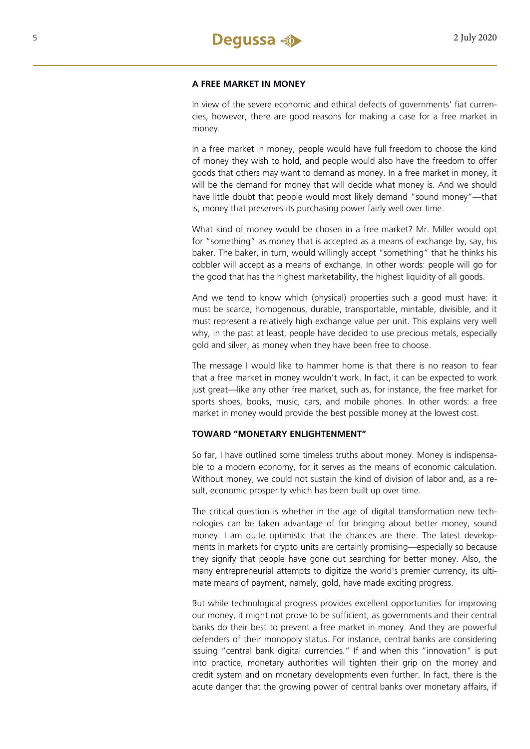#### **A FREE MARKET IN MONEY**

In view of the severe economic and ethical defects of governments' fiat currencies, however, there are good reasons for making a case for a free market in money.

In a free market in money, people would have full freedom to choose the kind of money they wish to hold, and people would also have the freedom to offer goods that others may want to demand as money. In a free market in money, it will be the demand for money that will decide what money is. And we should have little doubt that people would most likely demand "sound money"—that is, money that preserves its purchasing power fairly well over time.

What kind of money would be chosen in a free market? Mr. Miller would opt for "something" as money that is accepted as a means of exchange by, say, his baker. The baker, in turn, would willingly accept "something" that he thinks his cobbler will accept as a means of exchange. In other words: people will go for the good that has the highest marketability, the highest liquidity of all goods.

And we tend to know which (physical) properties such a good must have: it must be scarce, homogenous, durable, transportable, mintable, divisible, and it must represent a relatively high exchange value per unit. This explains very well why, in the past at least, people have decided to use precious metals, especially gold and silver, as money when they have been free to choose.

The message I would like to hammer home is that there is no reason to fear that a free market in money wouldn't work. In fact, it can be expected to work just great—like any other free market, such as, for instance, the free market for sports shoes, books, music, cars, and mobile phones. In other words: a free market in money would provide the best possible money at the lowest cost.

#### **TOWARD "MONETARY ENLIGHTENMENT"**

So far, I have outlined some timeless truths about money. Money is indispensable to a modern economy, for it serves as the means of economic calculation. Without money, we could not sustain the kind of division of labor and, as a result, economic prosperity which has been built up over time.

The critical question is whether in the age of digital transformation new technologies can be taken advantage of for bringing about better money, sound money. I am quite optimistic that the chances are there. The latest developments in markets for crypto units are certainly promising—especially so because they signify that people have gone out searching for better money. Also, the many entrepreneurial attempts to digitize the world's premier currency, its ultimate means of payment, namely, gold, have made exciting progress.

But while technological progress provides excellent opportunities for improving our money, it might not prove to be sufficient, as governments and their central banks do their best to prevent a free market in money. And they are powerful defenders of their monopoly status. For instance, central banks are considering issuing "central bank digital currencies." If and when this "innovation" is put into practice, monetary authorities will tighten their grip on the money and credit system and on monetary developments even further. In fact, there is the acute danger that the growing power of central banks over monetary affairs, if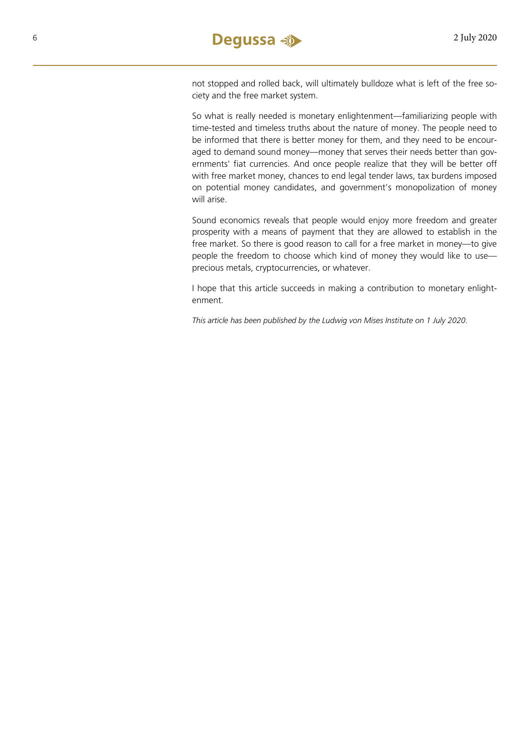not stopped and rolled back, will ultimately bulldoze what is left of the free society and the free market system.

So what is really needed is monetary enlightenment—familiarizing people with time-tested and timeless truths about the nature of money. The people need to be informed that there is better money for them, and they need to be encouraged to demand sound money—money that serves their needs better than governments' fiat currencies. And once people realize that they will be better off with free market money, chances to end legal tender laws, tax burdens imposed on potential money candidates, and government's monopolization of money will arise.

Sound economics reveals that people would enjoy more freedom and greater prosperity with a means of payment that they are allowed to establish in the free market. So there is good reason to call for a free market in money—to give people the freedom to choose which kind of money they would like to use precious metals, cryptocurrencies, or whatever.

I hope that this article succeeds in making a contribution to monetary enlightenment.

*This article has been published by the Ludwig von Mises Institute on 1 July 2020.*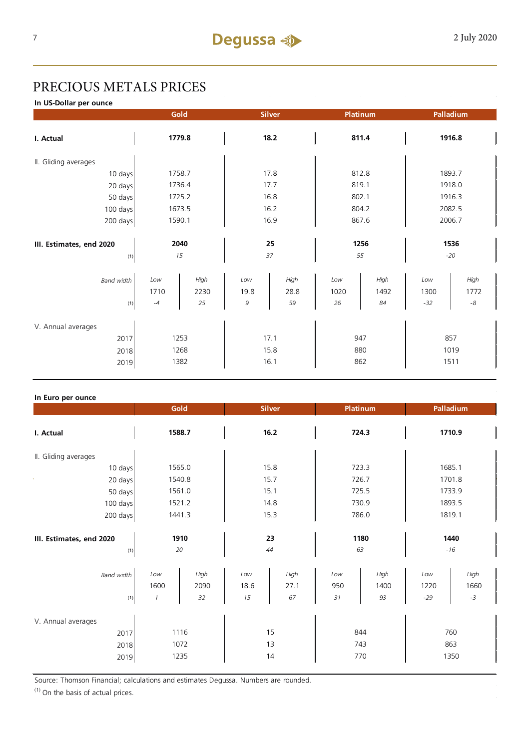# PRECIOUS METALS PRICES

**In US-Dollar per ounce**

|                          | Gold   |        | <b>Silver</b> |      | Platinum |      | Palladium |             |
|--------------------------|--------|--------|---------------|------|----------|------|-----------|-------------|
| I. Actual                | 1779.8 |        | 18.2          |      | 811.4    |      | 1916.8    |             |
| II. Gliding averages     |        |        |               |      |          |      |           |             |
| 10 days                  |        | 1758.7 | 17.8          |      | 812.8    |      | 1893.7    |             |
| 20 days                  |        | 1736.4 | 17.7          |      | 819.1    |      | 1918.0    |             |
| 50 days                  |        | 1725.2 | 16.8          |      | 802.1    |      | 1916.3    |             |
| 100 days                 |        | 1673.5 | 16.2          |      | 804.2    |      | 2082.5    |             |
| 200 days                 | 1590.1 |        | 16.9          |      | 867.6    |      | 2006.7    |             |
|                          |        |        |               |      |          |      |           |             |
| III. Estimates, end 2020 | 2040   |        | 25            |      | 1256     |      | 1536      |             |
| (1)                      |        | 15     |               | 37   |          | 55   |           | $-20$       |
| <b>Band width</b>        | Low    | High   | Low           | High | Low      | High | Low       | High        |
|                          | 1710   | 2230   | 19.8          | 28.8 | 1020     | 1492 | 1300      | 1772        |
| (1)                      | $-4$   | 25     | 9             | 59   | 26       | 84   | $-32$     | $\text{-}8$ |
| V. Annual averages       |        |        |               |      |          |      |           |             |
| 2017                     | 1253   |        | 17.1          |      | 947      |      | 857       |             |
| 2018                     | 1268   |        | 15.8          |      | 880      |      | 1019      |             |
| 2019                     | 1382   |        | 16.1          |      | 862      |      | 1511      |             |

#### **In Euro per ounce**

|                                            | Gold<br><b>Silver</b>        |                    |                   | Platinum           | Palladium         |                    |                      |                      |
|--------------------------------------------|------------------------------|--------------------|-------------------|--------------------|-------------------|--------------------|----------------------|----------------------|
| I. Actual                                  | 1588.7                       |                    | 16.2              |                    | 724.3             |                    | 1710.9               |                      |
| II. Gliding averages                       |                              |                    |                   |                    |                   |                    |                      |                      |
| 10 days                                    | 1565.0                       |                    |                   | 15.8               |                   | 723.3              |                      | 1685.1               |
| 20 days                                    | 1540.8                       |                    | 15.7              |                    | 726.7             |                    | 1701.8               |                      |
| 50 days                                    | 1561.0                       |                    | 15.1              |                    | 725.5             |                    | 1733.9               |                      |
| 100 days                                   | 1521.2                       |                    | 14.8              |                    | 730.9             |                    | 1893.5               |                      |
| 200 days                                   | 1441.3                       |                    | 15.3              |                    | 786.0             |                    | 1819.1               |                      |
| III. Estimates, end 2020<br>(1)            | 1910<br>20                   |                    | 23<br>44          |                    | 1180<br>63        |                    | 1440<br>$-16$        |                      |
| <b>Band width</b><br>(1)                   | Low<br>1600<br>$\mathcal{I}$ | High<br>2090<br>32 | Low<br>18.6<br>15 | High<br>27.1<br>67 | Low<br>950<br>31  | High<br>1400<br>93 | Low<br>1220<br>$-29$ | High<br>1660<br>$-3$ |
| V. Annual averages<br>2017<br>2018<br>2019 | 1116<br>1072<br>1235         |                    | 15<br>13<br>14    |                    | 844<br>743<br>770 |                    | 760<br>863<br>1350   |                      |

Source: Thomson Financial; calculations and estimates Degussa. Numbers are rounded.

 $(1)$  On the basis of actual prices.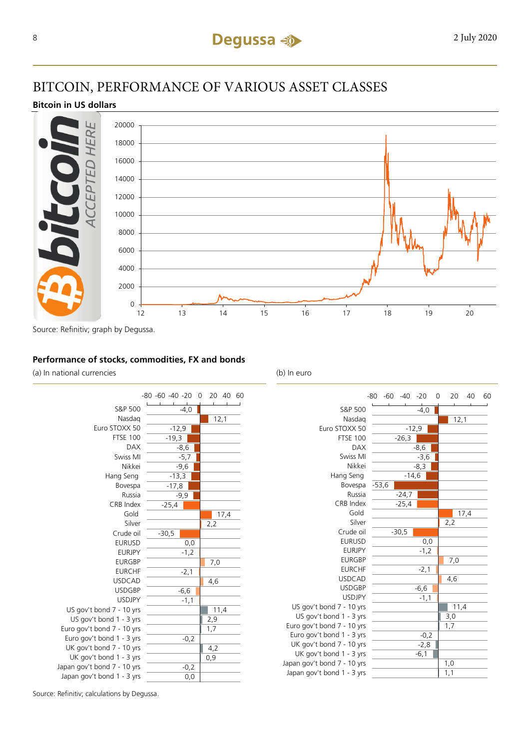### BITCOIN, PERFORMANCE OF VARIOUS ASSET CLASSES

#### **Bitcoin in US dollars**



#### **Performance of stocks, commodities, FX and bonds**

(a) In national currencies (b) In euro



US gov't US gov' Euro gov't Euro gov' UK gov't UK gov' Japan gov't Japan gov'

|                   | -80     | $-60 - 40$ | $-20$  | 0 | 20  | 40   | 60 |
|-------------------|---------|------------|--------|---|-----|------|----|
|                   |         |            |        |   |     |      |    |
| S&P 500           |         |            | $-4,0$ |   |     |      |    |
| Nasdag            |         |            |        |   |     | 12,1 |    |
| Euro STOXX 50     |         | $-12,9$    |        |   |     |      |    |
| <b>FTSE 100</b>   |         | $-26,3$    |        |   |     |      |    |
| <b>DAX</b>        |         |            | $-8,6$ |   |     |      |    |
| Swiss MI          |         |            | $-3,6$ |   |     |      |    |
| Nikkei            |         |            | $-8,3$ |   |     |      |    |
| Hang Seng         |         | $-14,6$    |        |   |     |      |    |
| Bovespa           | $-53,6$ |            |        |   |     |      |    |
| Russia            |         | $-24,7$    |        |   |     |      |    |
| CRB Index         |         | $-25,4$    |        |   |     |      |    |
| Gold              |         |            |        |   |     | 17,4 |    |
| Silver            |         |            |        |   | 2,2 |      |    |
| Crude oil         |         | $-30,5$    |        |   |     |      |    |
| <b>EURUSD</b>     |         |            | 0,0    |   |     |      |    |
| <b>EURJPY</b>     |         |            | $-1,2$ |   |     |      |    |
| <b>EURGBP</b>     |         |            |        |   | 7,0 |      |    |
| <b>EURCHF</b>     |         |            | $-2,1$ |   |     |      |    |
| <b>USDCAD</b>     |         |            |        |   | 4,6 |      |    |
| <b>USDGBP</b>     |         |            | $-6,6$ |   |     |      |    |
| <b>USDJPY</b>     |         |            | $-1,1$ |   |     |      |    |
| bond 7 - 10 yrs   |         |            |        |   |     | 11,4 |    |
| t bond 1 - 3 yrs  |         |            |        |   | 3,0 |      |    |
| bond 7 - 10 yrs   |         |            |        |   | 1,7 |      |    |
| t bond 1 - 3 yrs  |         |            | $-0,2$ |   |     |      |    |
| bond $7 - 10$ yrs |         |            | $-2,8$ |   |     |      |    |
| t bond 1 - 3 yrs  |         |            | $-6,1$ |   |     |      |    |
| bond 7 - 10 yrs   |         |            |        |   | 1,0 |      |    |
| t bond 1 - 3 yrs  |         |            |        |   | 1,1 |      |    |

Source: Refinitiv; calculations by Degussa.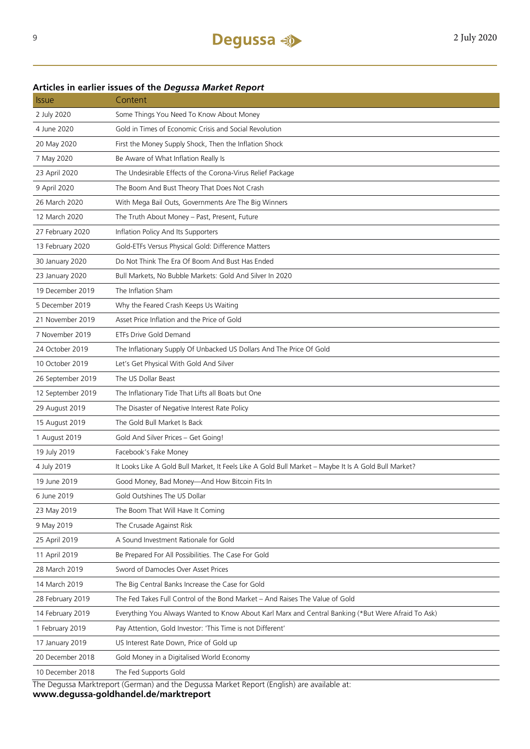#### **Articles in earlier issues of the** *Degussa Market Report*

| <i><b>Issue</b></i> | Content                                                                                              |
|---------------------|------------------------------------------------------------------------------------------------------|
| 2 July 2020         | Some Things You Need To Know About Money                                                             |
| 4 June 2020         | Gold in Times of Economic Crisis and Social Revolution                                               |
| 20 May 2020         | First the Money Supply Shock, Then the Inflation Shock                                               |
| 7 May 2020          | Be Aware of What Inflation Really Is                                                                 |
| 23 April 2020       | The Undesirable Effects of the Corona-Virus Relief Package                                           |
| 9 April 2020        | The Boom And Bust Theory That Does Not Crash                                                         |
| 26 March 2020       | With Mega Bail Outs, Governments Are The Big Winners                                                 |
| 12 March 2020       | The Truth About Money - Past, Present, Future                                                        |
| 27 February 2020    | Inflation Policy And Its Supporters                                                                  |
| 13 February 2020    | Gold-ETFs Versus Physical Gold: Difference Matters                                                   |
| 30 January 2020     | Do Not Think The Era Of Boom And Bust Has Ended                                                      |
| 23 January 2020     | Bull Markets, No Bubble Markets: Gold And Silver In 2020                                             |
| 19 December 2019    | The Inflation Sham                                                                                   |
| 5 December 2019     | Why the Feared Crash Keeps Us Waiting                                                                |
| 21 November 2019    | Asset Price Inflation and the Price of Gold                                                          |
| 7 November 2019     | <b>ETFs Drive Gold Demand</b>                                                                        |
| 24 October 2019     | The Inflationary Supply Of Unbacked US Dollars And The Price Of Gold                                 |
| 10 October 2019     | Let's Get Physical With Gold And Silver                                                              |
| 26 September 2019   | The US Dollar Beast                                                                                  |
| 12 September 2019   | The Inflationary Tide That Lifts all Boats but One                                                   |
| 29 August 2019      | The Disaster of Negative Interest Rate Policy                                                        |
| 15 August 2019      | The Gold Bull Market Is Back                                                                         |
| 1 August 2019       | Gold And Silver Prices - Get Going!                                                                  |
| 19 July 2019        | Facebook's Fake Money                                                                                |
| 4 July 2019         | It Looks Like A Gold Bull Market, It Feels Like A Gold Bull Market - Maybe It Is A Gold Bull Market? |
| 19 June 2019        | Good Money, Bad Money-And How Bitcoin Fits In                                                        |
| 6 June 2019         | Gold Outshines The US Dollar                                                                         |
| 23 May 2019         | The Boom That Will Have It Coming                                                                    |
| 9 May 2019          | The Crusade Against Risk                                                                             |
| 25 April 2019       | A Sound Investment Rationale for Gold                                                                |
| 11 April 2019       | Be Prepared For All Possibilities. The Case For Gold                                                 |
| 28 March 2019       | Sword of Damocles Over Asset Prices                                                                  |
| 14 March 2019       | The Big Central Banks Increase the Case for Gold                                                     |
| 28 February 2019    | The Fed Takes Full Control of the Bond Market - And Raises The Value of Gold                         |
| 14 February 2019    | Everything You Always Wanted to Know About Karl Marx and Central Banking (*But Were Afraid To Ask)   |
| 1 February 2019     | Pay Attention, Gold Investor: 'This Time is not Different'                                           |
| 17 January 2019     | US Interest Rate Down, Price of Gold up                                                              |
| 20 December 2018    | Gold Money in a Digitalised World Economy                                                            |
| 10 December 2018    | The Fed Supports Gold                                                                                |

The Degussa Marktreport (German) and the Degussa Market Report (English) are available at:

**www.degussa-goldhandel.de/marktreport**